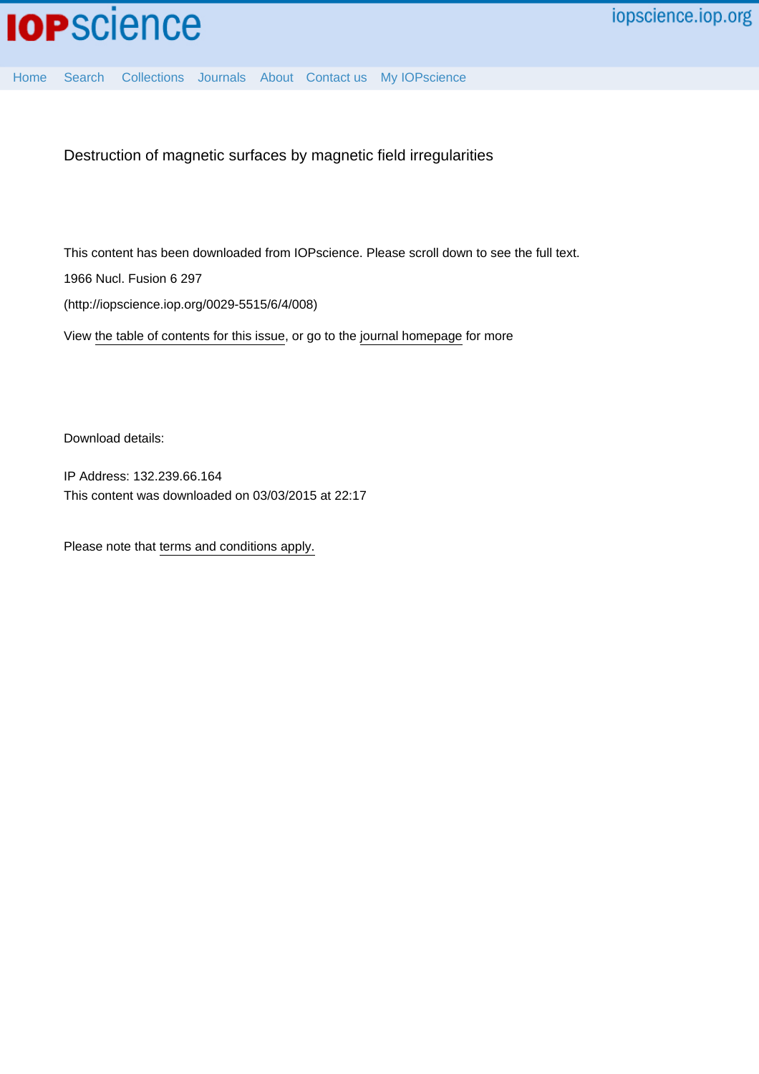[Home](http://iopscience.iop.org/) [Search](http://iopscience.iop.org/search) [Collections](http://iopscience.iop.org/collections) [Journals](http://iopscience.iop.org/journals) [About](http://iopscience.iop.org/page/aboutioppublishing) [Contact us](http://iopscience.iop.org/contact) [My IOPscience](http://iopscience.iop.org/myiopscience)

Destruction of magnetic surfaces by magnetic field irregularities

This content has been downloaded from IOPscience. Please scroll down to see the full text. 1966 Nucl. Fusion 6 297 (http://iopscience.iop.org/0029-5515/6/4/008)

View [the table of contents for this issue](http://iopscience.iop.org/0029-5515/6/4), or go to the [journal homepage](http://iopscience.iop.org/0029-5515) for more

Download details:

IP Address: 132.239.66.164 This content was downloaded on 03/03/2015 at 22:17

Please note that [terms and conditions apply.](iopscience.iop.org/page/terms)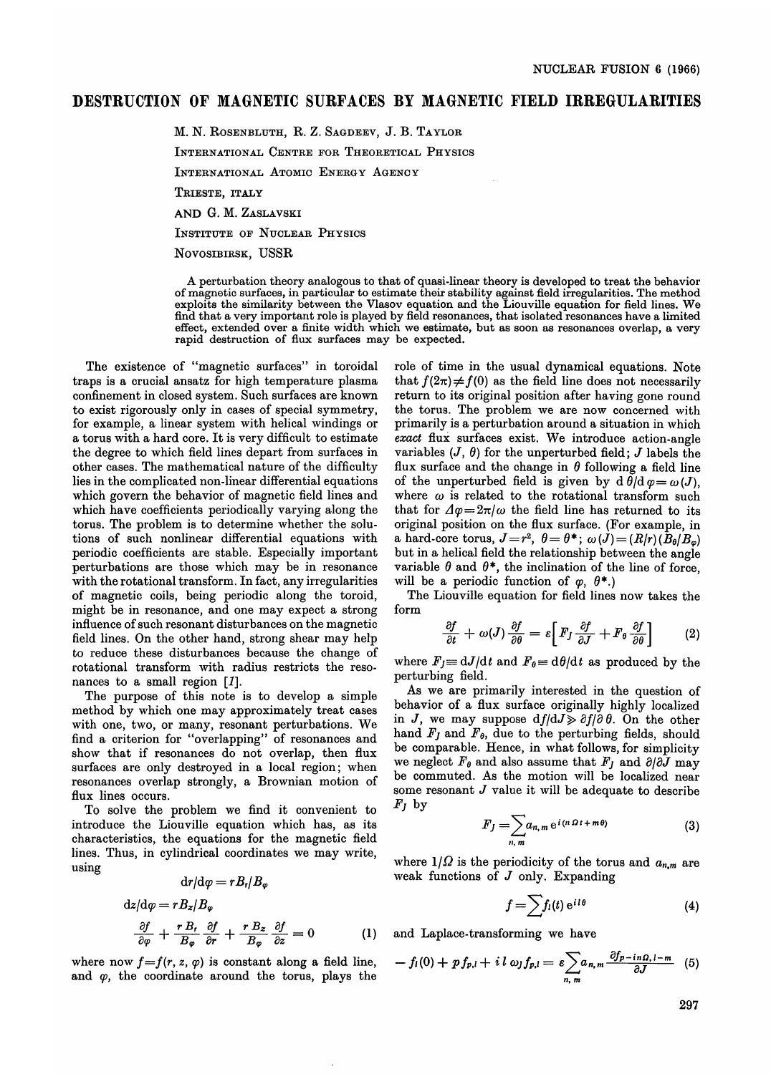# **DESTRUCTION OF MAGNETIC SURFACES BY MAGNETIC FIELD IRREGULARITIES**

M. N. ROSENBLUTH, R. Z. SAGDEEV, J. B. TAYLOE INTERNATIONAL CENTRE FOR THEORETICAL PHYSICS INTERNATIONAL ATOMIC ENERGY AGENCY TRIESTE, ITALY AND G. M. ZASLAVSKI

INSTITUTE OF NUCLEAR PHYSICS

NOVOSIBIRSK, USSR

A perturbation theory analogous to that of quasi-linear theory is developed to treat the behavior of magnetic surfaces, in particular to estimate their stability against field irregularities. The method exploits the similarity between the Vlasov equation and the Liouville equation for field lines. We find that a very important role is played by field resonances, that isolated resonances have a limited effect, extended over a finite width which we estimate, but as soon as resonances overlap, a very rapid destruction of flux surfaces may be expected.

The existence of "magnetic surfaces" in toroidal traps is a crucial ansatz for high temperature plasma confinement in closed system. Such surfaces are known to exist rigorously only in cases of special symmetry, for example, a linear system with helical windings or a torus with a hard core. It is very difficult to estimate the degree to which field lines depart from surfaces in other cases. The mathematical nature of the difficulty lies in the complicated non-linear differential equations which govern the behavior of magnetic field lines and which have coefficients periodically varying along the torus. The problem is to determine whether the solutions of such nonlinear differential equations with periodic coefficients are stable. Especially important perturbations are those which may be in resonance with the rotational transform. In fact, any irregularities of magnetic coils, being periodic along the toroid, might be in resonance, and one may expect a strong influence of such resonant disturbances on the magnetic field lines. On the other hand, strong shear may help to reduce these disturbances because the change of rotational transform with radius restricts the resonances to a small region *[1].*

The purpose of this note is to develop a simple method by which one may approximately treat cases with one, two, or many, resonant perturbations. We find a criterion for "overlapping" of resonances and show that if resonances do not overlap, then flux surfaces are only destroyed in a local region; when resonances overlap strongly, a Brownian motion of flux lines occurs.

To solve the problem we find it convenient to introduce the Liouville equation which has, as its characteristics, the equations for the magnetic field lines. Thus, in cylindrical coordinates we may write, using

$$
\mathrm{d}r/\mathrm{d}\varphi=rB_{\sf r}/B_{\varphi}
$$

$$
dz/d\varphi = rB_z/B_{\varphi}
$$
  

$$
\frac{\partial f}{\partial \varphi} + \frac{rB_r}{B_{\varphi}} \frac{\partial f}{\partial r} + \frac{rB_z}{B_{\varphi}} \frac{\partial f}{\partial z} = 0
$$
 (1)

where now  $f=f(r, z, \varphi)$  is constant along a field line,  $-f_i(0) + pf_{p,i} + i l \omega_j f_{p,i} =$ <br>and  $\varphi$ , the coordinate around the torus, plays the

role of time in the usual dynamical equations. Note that  $f(2\pi) \neq f(0)$  as the field line does not necessarily return to its original position after having gone round the torus. The problem we are now concerned with primarily is a perturbation around a situation in which *exact* flux surfaces exist. We introduce action-angle variables  $(J, \theta)$  for the unperturbed field;  $J$  labels the flux surface and the change in  $\theta$  following a field line of the unperturbed field is given by  $d \tilde{\theta}/d \varphi = \omega(J)$ , where  $\omega$  is related to the rotational transform such that for  $\Delta \varphi = 2\pi/\omega$  the field line has returned to its original position on the flux surface. (For example, in a hard-core torus,  $J=r^2$ ,  $\theta=\theta^*$ ;  $\omega(\dot{J}) = (R/r) (\dot{B}_{\theta}/B_{\omega})$ but in a helical field the relationship between the angle variable  $\theta$  and  $\theta^*$ , the inclination of the line of force, will be a periodic function of  $\varphi$ ,  $\theta^*$ .)

The Liouville equation for field lines now takes the form

$$
\frac{\partial f}{\partial t} + \omega(J) \frac{\partial f}{\partial \theta} = \varepsilon \Big[ F_J \frac{\partial f}{\partial J} + F_\theta \frac{\partial f}{\partial \theta} \Big] \qquad (2)
$$

where  $F_j \equiv dJ/dt$  and  $F_\theta \equiv d\theta/dt$  as produced by the perturbing field.

As we are primarily interested in the question of behavior of a flux surface originally highly localized in *J*, we may suppose  $df/dJ \geq \frac{\partial f}{\partial \theta}$ . On the other hand  $F_I$  and  $F_{\theta}$ , due to the perturbing fields, should be comparable. Hence, in what follows, for simplicity we neglect  $F_{\theta}$  and also assume that  $F_{\theta}$  and  $\partial/\partial J$  may be commuted. As the motion will be localized near some resonant *J* value it will be adequate to describe *Fj by*

$$
F_J = \sum_{n, m} a_{n, m} e^{i (n \Omega t + m \theta)} \tag{3}
$$

where  $1/\Omega$  is the periodicity of the torus and  $a_{n,m}$  are weak functions of *J* only. Expanding

$$
f = \sum f_i(t) e^{i l \theta} \tag{4}
$$

and Laplace-transforming we have

$$
-f_l(0)+pf_{p,l}+i l \omega_J f_{p,l}= \varepsilon \sum_{n, m} a_{n, m} \frac{\partial f_{p-1 n, l-m}}{\partial J} \quad (5)
$$

297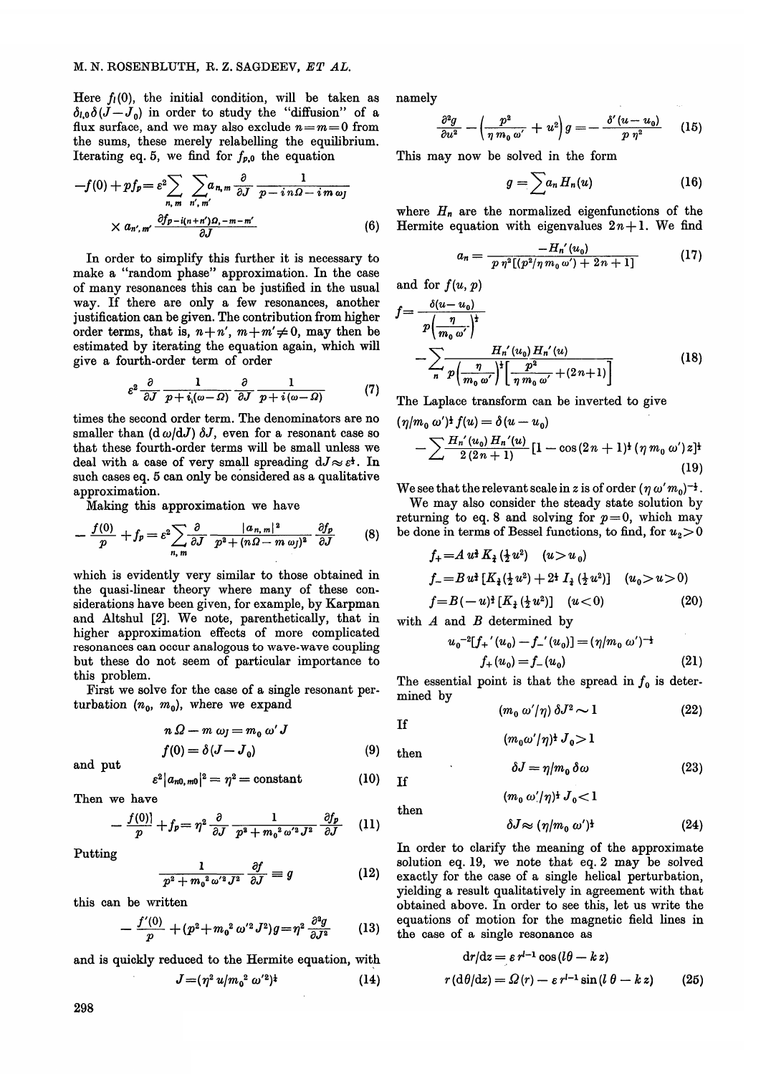Here  $f_l(0)$ , the initial condition, will be taken as  $\delta_{l,0}\delta(J-J_0)$  in order to study the "diffusion" of a flux surface, and we may also exclude  $n=m=0$  from the sums, these merely relabelling the equilibrium. Iterating eq. 5, we find for  $f_{p,0}$  the equation

$$
-f(0) + pf_p = \varepsilon^2 \sum_{n, m} \sum_{n', m'} a_{n, m} \frac{\partial}{\partial J} \frac{1}{p - in \Omega - im \omega_J}
$$
  
 
$$
\times a_{n', m'} \frac{\partial f_{p - i(n + n')\Omega, -m - m'}}{\partial J}
$$
 (6)

In order to simplify this further it is necessary to make a "random phase" approximation. In the case of many resonances this can be justified in the usual way. If there are only a few resonances, another justification can be given. The contribution from higher order terms, that is,  $n+n'$ ,  $m+m'\neq 0$ , may then be estimated by iterating the equation again, which will give a fourth-order term of order

$$
\varepsilon^2 \frac{\partial}{\partial J} \frac{1}{p + i_1(\omega - \Omega)} \frac{\partial}{\partial J} \frac{1}{p + i(\omega - \Omega)} \tag{7}
$$

times the second order term. The denominators are no smaller than  $(d \omega/dJ) \delta J$ , even for a resonant case so that these fourth-order terms will be small unless we deal with a case of very small spreading  $dJ \approx \varepsilon^{\frac{1}{2}}$ . In such cases eq. 5 can only be considered as a qualitative approximation.

Making this approximation we have

$$
-\frac{f(0)}{p} + f_p = \varepsilon^2 \sum_{n,m} \frac{\partial}{\partial J} \frac{|a_{n,m}|^2}{p^2 + (n\Omega - m\omega)^2} \frac{\partial f_p}{\partial J} \tag{8}
$$

which is evidently very similar to those obtained in the quasi-linear theory where many of these considerations have been given, for example, by Karpman and Altshul *[2],* We note, parenthetically, that in higher approximation effects of more complicated resonances can occur analogous to wave-wave coupling but these do not seem of particular importance to this problem.

First we solve for the case of a single resonant perturbation  $(n_0, m_0)$ , where we expand

$$
n\Omega - m\omega_J = m_0 \omega' J
$$

$$
f(0) = \delta(J - J_0) \tag{9}
$$

$$
\varepsilon^2 |a_{n0,m0}|^2 = \eta^2 = \text{constant} \qquad (10)
$$

Then we have

and put

$$
-\frac{f(0)}{p}+f_p=\eta^2\frac{\partial}{\partial J}\frac{1}{p^2+m_0^2\,\omega^{\prime 2}J^2}\frac{\partial f_p}{\partial J} \quad (11)
$$

Putting

$$
\frac{1}{p^2 + m_0^2 \omega'^2 J^2} \frac{\partial f}{\partial J} \equiv g \tag{12}
$$

this can be written

$$
-\frac{f'(0)}{p}+(p^2+m_0^2\,\omega'^2\,J^2)g=\eta^2\,\frac{\partial^2 g}{\partial J^2}\qquad (13)
$$

and is quickly reduced to the Hermite equation, with

$$
J = (\eta^2 u/m_0^2 \omega^2)^{\frac{1}{4}} \tag{14}
$$

namely

$$
\frac{\partial^2 g}{\partial u^2} - \left(\frac{p^2}{\eta m_0 \omega'} + u^2\right) g = -\frac{\delta'(u - u_0)}{p \eta^2} \qquad (15)
$$

This may now be solved in the form

$$
g=\sum a_n H_n(u) \qquad (16)
$$

where  $H_n$  are the normalized eigenfunctions of the Hermite equation with eigenvalues  $2n+1$ . We find

$$
a_n = \frac{-H'_n(u_0)}{p \eta^2 [(p^2/\eta m_0 \omega') + 2n + 1]}
$$
 (17)

and for *f(u, p)*

$$
f = \frac{\delta(u - u_0)}{p\left(\frac{\eta}{m_0 \omega'}\right)^{\frac{1}{2}}} - \sum_{n} \frac{H_n'(u_0) H_n'(u)}{p\left(\frac{\eta}{m_0 \omega'}\right)^{\frac{1}{2}} \left[\frac{p^2}{\eta m_0 \omega'} + (2n + 1)\right]}
$$
(18)

The Laplace transform can be inverted to give

$$
(\eta/m_0 \omega')^{\frac{1}{2}} f(u) = \delta(u - u_0)
$$
  
 
$$
- \sum \frac{H_n'(u_0) H_n'(u)}{2(2n+1)} [1 - \cos(2n+1)^{\frac{1}{2}} (\eta m_0 \omega') z]^{\frac{1}{2}}
$$
  
(19)

We see that the relevant scale in z is of order  $(\eta \omega' m_0)^{-1}$ .

We may also consider the steady state solution by returning to eq. 8 and solving for  $p=0$ , which may be done in terms of Bessel functions, to find, for  $u_2>0$ 

$$
f_{+} = A u^{\frac{1}{2}} K_{\frac{1}{2}} (\frac{1}{2} u^2) \quad (u > u_0)
$$
  
\n
$$
f_{-} = B u^{\frac{1}{2}} [K_{\frac{1}{2}} (\frac{1}{2} u^2) + 2^{\frac{1}{2}} I_{\frac{1}{2}} (\frac{1}{2} u^2)] \quad (u_0 > u > 0)
$$
  
\n
$$
f = B(-u)^{\frac{1}{2}} [K_{\frac{1}{2}} (\frac{1}{2} u^2)] \quad (u < 0)
$$
\n(20)

with *A* and *B* determined by

*dr/dz = e i4*

$$
u_0^{-2}[f_+'(u_0) - f_-'(u_0)] = (\eta/m_0 \omega')^{-\frac{1}{2}}
$$
  

$$
f_+(u_0) = f_-(u_0)
$$
 (21)

The essential point is that the spread in  $f_0$  is determined by

$$
(m_0 \omega'/\eta) \, \delta J^2 \sim 1 \tag{22}
$$

If

then

then

If

 $(m_0\omega'/\eta)^{\frac{1}{2}} J_0 > 1$ 

$$
\delta J = \eta / m_0 \, \delta \omega \tag{23}
$$

$$
(m_0 \omega'/\eta)^\frac{1}{2} J_0^{}\!<\!1
$$

 $\delta J \approx (\eta/m_0 \omega')^{\frac{1}{2}}$ **(24)**

In order to clarify the meaning of the approximate solution eq. 19, we note that eq. 2 may be solved exactly for the case of a single helical perturbation, yielding a result qualitatively in agreement with that obtained above. In order to see this, let us write the equations of motion for the magnetic field lines in the case of a single resonance as

$$
dr/dz = \varepsilon r^{l-1} \cos(l\theta - kz)
$$
  

$$
r(d\theta/dz) = \Omega(r) - \varepsilon r^{l-1} \sin(l\theta - kz)
$$
 (25)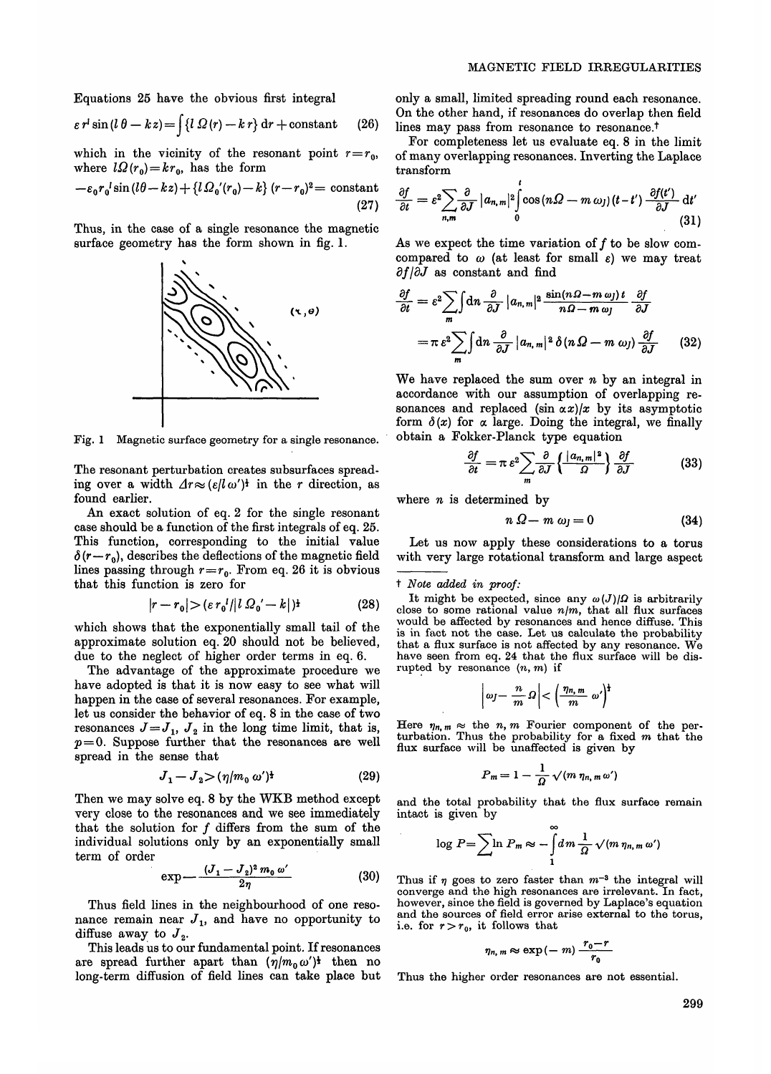Equations 25 have the obvious first integral

$$
\varepsilon r^l \sin(l \theta - kz) = \int \{l \Omega(r) - kr\} dr + \text{constant} \qquad (26)
$$

which in the vicinity of the resonant point  $r=r_0$ , where  $l\Omega(r_0) = kr_0$ , has the form

$$
-\varepsilon_0 r_0^{\,\prime} \sin\left(\ell\theta - kz\right) + \left\{\ell \,\Omega_0^{\,\prime}(r_0) - k\right\} (r - r_0)^2 = \text{constant} \tag{27}
$$

Thus, in the case of a single resonance the magnetic surface geometry has the form shown in fig. 1.



Fig. 1 Magnetic surface geometry for a single resonance.

The resonant perturbation creates subsurfaces spreading over a width  $\Delta r \approx (\varepsilon/l \omega')^{\frac{1}{2}}$  in the *r* direction, as found earlier.

An exact solution of eq. 2 for the single resonant case should be a function of the first integrals of eq. 25. This function, corresponding to the initial value  $\delta(r-r_0)$ , describes the deflections of the magnetic field lines passing through  $r=r_0$ . From eq. 26 it is obvious that this function is zero for

$$
|r - r_0| > (\varepsilon r_0^{-1}) |l \Omega_0' - k|)^{\frac{1}{2}} \tag{28}
$$

which shows that the exponentially small tail of the approximate solution eq. 20 should not be believed, due to the neglect of higher order terms in eq. 6.

The advantage of the approximate procedure we have adopted is that it is now easy to see what will happen in the case of several resonances. For example, let us consider the behavior of eq. 8 in the case of two resonances  $J = J_1$ ,  $J_2$  in the long time limit, that is,  $p=0$ . Suppose further that the resonances are well spread in the sense that

$$
J_1 - J_2 > (\eta/m_0 \,\omega')^{\frac{1}{2}} \tag{29}
$$

Then we may solve eq. 8 by the WKB method except very close to the resonances and we see immediately that the solution for  $f$  differs from the sum of the individual solutions only by an exponentially small term of order

$$
\exp -\frac{(J_1-J_2)^2 m_0 \omega'}{2\eta} \tag{30}
$$

Thus field lines in the neighbourhood of one resonance remain near  $J_1$ , and have no opportunity to diffuse away to  $J_2$ .

This leads us to our fundamental point. If resonances are spread further apart than  $(\eta/m_0\omega')^{\frac{1}{2}}$  then no long-term diffusion of field lines can take place but

only a small, limited spreading round each resonance. On the other hand, if resonances do overlap then field lines may pass from resonance to resonance.<sup>†</sup>

For completeness let us evaluate eq. 8 in the limit of many overlapping resonances. Inverting the Laplace transform

$$
\frac{\partial f}{\partial t} = \varepsilon^2 \sum_{n,m} \frac{\partial}{\partial J} |a_{n,m}|^2 \int_0^1 \cos(n\Omega - m\,\omega_J)(t-t') \frac{\partial f(t')}{\partial J} dt'
$$
(31)

As we expect the time variation of  $f$  to be slow comcompared to  $\omega$  (at least for small  $\varepsilon$ ) we may treat *df/dJ* as constant and find

$$
\frac{\partial f}{\partial t} = \varepsilon^2 \sum_{m} \int \mathrm{d}n \frac{\partial}{\partial J} |a_{n,m}|^2 \frac{\sin(n\Omega - m\omega_l)t}{n\Omega - m\omega_l} \frac{\partial f}{\partial J}
$$

$$
= \pi \varepsilon^2 \sum_{m} \int \mathrm{d}n \frac{\partial}{\partial J} |a_{n,m}|^2 \delta(n\Omega - m\omega_l) \frac{\partial f}{\partial J} \qquad (32)
$$

We have replaced the sum over *n* by an integral in accordance with our assumption of overlapping resonances and replaced  $(\sin \alpha x)/x$  by its asymptotic form  $\delta(x)$  for  $\alpha$  large. Doing the integral, we finally obtain a Fokker-Planck type equation

$$
\frac{\partial f}{\partial t} = \pi \, \varepsilon^2 \sum_{m} \frac{\partial}{\partial J} \left\{ \frac{|a_{n,m}|^2}{\Omega} \right\} \frac{\partial f}{\partial J} \tag{33}
$$

where *n* is determined by

$$
n \Omega - m \omega_J = 0 \tag{34}
$$

Let us now apply these considerations to a torus with very large rotational transform and large aspect

## t *Note added in proof:*

It might be expected, since any  $\omega(J)/\Omega$  is arbitrarily close to some rational value  $n/m$ , that all flux surfaces would be affected by resonances and hence diffuse. This is in fact not the case. Let us calculate the probability that a flux surface is not affected by any resonance. We have seen from eq. 24 that the flux surface will be dis-<br>rupted by resonance  $(n, m)$  if

$$
\left|\omega_J-\frac{n}{m}\,\varOmega\right|<\left(\frac{\eta_{n, m}}{m}\,\,\omega'\right)^{\!\!\frac{1}{2}}
$$

Here  $\eta_{n,m} \approx$  the *n*, *m* Fourier component of the per-<br>turbation. Thus the probability for a fixed *m* that the<br>flux surface will be unaffected is given by

$$
P_m=1-\frac{1}{\Omega}\sqrt{(m\eta_{n, m}\omega')}
$$

and the total probability that the flux surface remain intact is given by

$$
\log P = \sum_{m} \ln P_m \approx - \int_{1}^{\infty} dm \frac{1}{\Omega} \sqrt{(m \eta_{n,m} \omega')}
$$

Thus if  $\eta$  goes to zero faster than  $m^{-3}$  the integral will converge and the high resonances are irrelevant. In fact, however, since the field is governed by Laplace's equation and the sources of field error arise external to the torus, i.e. for  $r > r_0$ , it follows that

$$
\eta_{n, m} \approx \exp(-m) \frac{r_0-r}{r_0}
$$

Thus the higher order resonances are not essential.